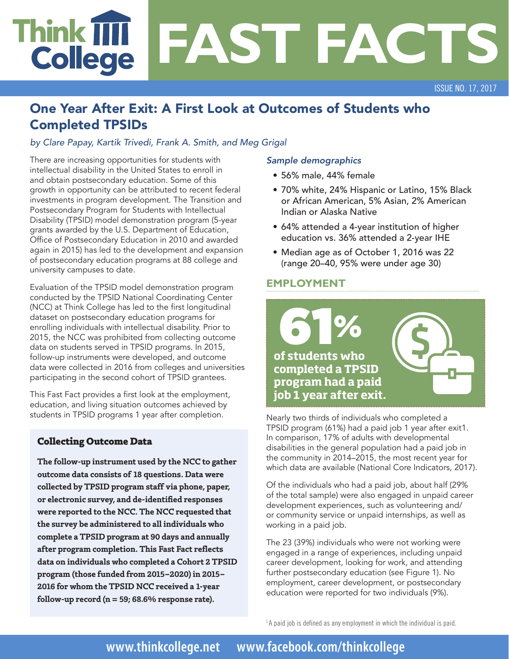# **Think T FAST FACTS College**

ISSUE NO. 17, 2017

# One Year After Exit: A First Look at Outcomes of Students who Completed TPSIDs

*by Clare Papay, Kartik Trivedi, Frank A. Smith, and Meg Grigal*

There are increasing opportunities for students with intellectual disability in the United States to enroll in and obtain postsecondary education. Some of this growth in opportunity can be attributed to recent federal investments in program development. The Transition and Postsecondary Program for Students with Intellectual Disability (TPSID) model demonstration program (5-year grants awarded by the U.S. Department of Education, Office of Postsecondary Education in 2010 and awarded again in 2015) has led to the development and expansion of postsecondary education programs at 88 college and university campuses to date.

Evaluation of the TPSID model demonstration program conducted by the TPSID National Coordinating Center (NCC) at Think College has led to the first longitudinal dataset on postsecondary education programs for enrolling individuals with intellectual disability. Prior to 2015, the NCC was prohibited from collecting outcome data on students served in TPSID programs. In 2015, follow-up instruments were developed, and outcome data were collected in 2016 from colleges and universities participating in the second cohort of TPSID grantees.

This Fast Fact provides a first look at the employment, education, and living situation outcomes achieved by students in TPSID programs 1 year after completion.

# **Collecting Outcome Data**

**The follow-up instrument used by the NCC to gather outcome data consists of 18 questions. Data were collected by TPSID program staff via phone, paper, or electronic survey, and de-identified responses were reported to the NCC. The NCC requested that the survey be administered to all individuals who complete a TPSID program at 90 days and annually after program completion. This Fast Fact reflects data on individuals who completed a Cohort 2 TPSID program (those funded from 2015–2020) in 2015– 2016 for whom the TPSID NCC received a 1-year follow-up record (n = 59; 68.6% response rate).**

#### *Sample demographics*

- 56% male, 44% female
- 70% white, 24% Hispanic or Latino, 15% Black or African American, 5% Asian, 2% American Indian or Alaska Native
- 64% attended a 4-year institution of higher education vs. 36% attended a 2-year IHE
- Median age as of October 1, 2016 was 22 (range 20–40, 95% were under age 30)

## **EMPLOYMENT**



Nearly two thirds of individuals who completed a TPSID program (61%) had a paid job 1 year after exit1. In comparison, 17% of adults with developmental disabilities in the general population had a paid job in the community in 2014–2015, the most recent year for which data are available (National Core Indicators, 2017).

Of the individuals who had a paid job, about half (29% of the total sample) were also engaged in unpaid career development experiences, such as volunteering and/ or community service or unpaid internships, as well as working in a paid job.

The 23 (39%) individuals who were not working were engaged in a range of experiences, including unpaid career development, looking for work, and attending further postsecondary education (see Figure 1). No employment, career development, or postsecondary education were reported for two individuals (9%).

 $1A$  paid job is defined as any employment in which the individual is paid.